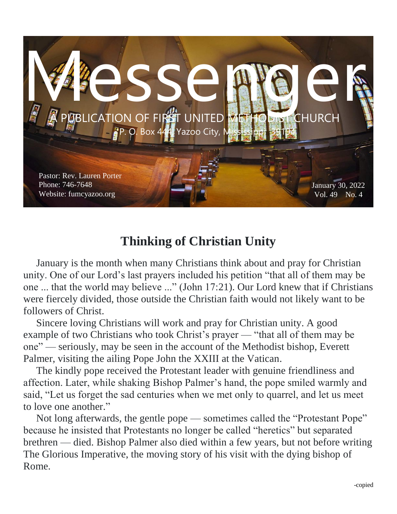

### **Thinking of Christian Unity**

 January is the month when many Christians think about and pray for Christian unity. One of our Lord's last prayers included his petition "that all of them may be one ... that the world may believe ..." (John 17:21). Our Lord knew that if Christians were fiercely divided, those outside the Christian faith would not likely want to be followers of Christ.

 Sincere loving Christians will work and pray for Christian unity. A good example of two Christians who took Christ's prayer — "that all of them may be one" — seriously, may be seen in the account of the Methodist bishop, Everett Palmer, visiting the ailing Pope John the XXIII at the Vatican.

 The kindly pope received the Protestant leader with genuine friendliness and affection. Later, while shaking Bishop Palmer's hand, the pope smiled warmly and said, "Let us forget the sad centuries when we met only to quarrel, and let us meet to love one another."

 Not long afterwards, the gentle pope — sometimes called the "Protestant Pope" because he insisted that Protestants no longer be called "heretics" but separated brethren — died. Bishop Palmer also died within a few years, but not before writing The Glorious Imperative, the moving story of his visit with the dying bishop of Rome.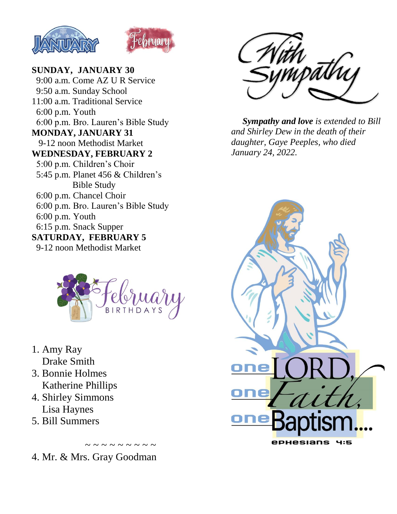



#### **SUNDAY, JANUARY 30**

 9:00 a.m. Come AZ U R Service 9:50 a.m. Sunday School 11:00 a.m. Traditional Service 6:00 p.m. Youth 6:00 p.m. Bro. Lauren's Bible Study **MONDAY, JANUARY 31** 9-12 noon Methodist Market **WEDNESDAY, FEBRUARY 2** 5:00 p.m. Children's Choir 5:45 p.m. Planet 456 & Children's Bible Study 6:00 p.m. Chancel Choir 6:00 p.m. Bro. Lauren's Bible Study 6:00 p.m. Youth 6:15 p.m. Snack Supper **SATURDAY, FEBRUARY 5** 9-12 noon Methodist Market



- 1. Amy Ray Drake Smith
- 3. Bonnie Holmes Katherine Phillips
- 4. Shirley Simmons Lisa Haynes
- 5. Bill Summers



 *Sympathy and love is extended to Bill and Shirley Dew in the death of their daughter, Gaye Peeples, who died January 24, 2022.*



4. Mr. & Mrs. Gray Goodman

 $\sim$   $\sim$   $\sim$   $\sim$   $\sim$   $\sim$   $\sim$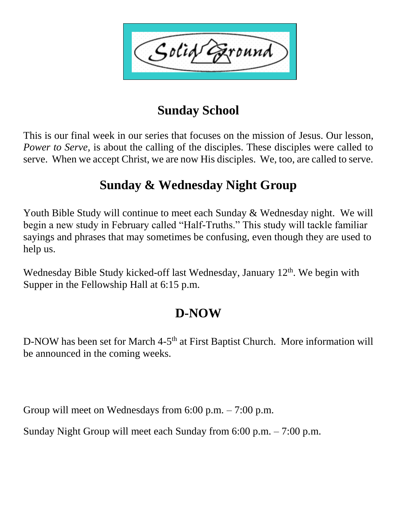Solid ound'

## **Sunday School**

This is our final week in our series that focuses on the mission of Jesus. Our lesson, *Power to Serve,* is about the calling of the disciples. These disciples were called to serve. When we accept Christ, we are now His disciples. We, too, are called to serve.

## **Sunday & Wednesday Night Group**

Youth Bible Study will continue to meet each Sunday & Wednesday night. We will begin a new study in February called "Half-Truths." This study will tackle familiar sayings and phrases that may sometimes be confusing, even though they are used to help us.

Wednesday Bible Study kicked-off last Wednesday, January 12<sup>th</sup>. We begin with Supper in the Fellowship Hall at 6:15 p.m.

# **D-NOW**

D-NOW has been set for March 4-5<sup>th</sup> at First Baptist Church. More information will be announced in the coming weeks.

Group will meet on Wednesdays from 6:00 p.m. – 7:00 p.m.

Sunday Night Group will meet each Sunday from 6:00 p.m. – 7:00 p.m.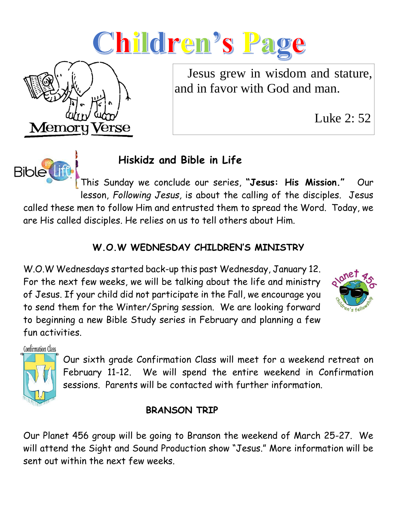



Luke 2: 52



**Memory Verse** 

## **Hiskidz and Bible in Life**

This Sunday we conclude our series, **"Jesus: His Mission."** Our lesson, *Following Jesus,* is about the calling of the disciples. Jesus called these men to follow Him and entrusted them to spread the Word. Today, we are His called disciples. He relies on us to tell others about Him.

#### **W.O.W WEDNESDAY CHILDREN'S MINISTRY**

W.O.W Wednesdays started back-up this past Wednesday, January 12. For the next few weeks, we will be talking about the life and ministry of Jesus. If your child did not participate in the Fall, we encourage you to send them for the Winter/Spring session. We are looking forward to beginning a new Bible Study series in February and planning a few fun activities.

**Confirmation Class** 



Our sixth grade Confirmation Class will meet for a weekend retreat on February 11-12. We will spend the entire weekend in Confirmation sessions. Parents will be contacted with further information.

### **BRANSON TRIP**

Our Planet 456 group will be going to Branson the weekend of March 25-27. We will attend the Sight and Sound Production show "Jesus." More information will be sent out within the next few weeks.